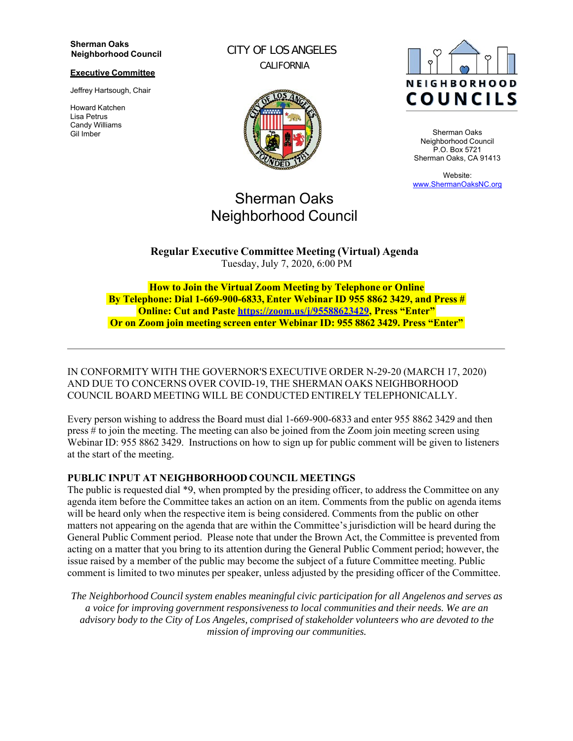#### **Sherman Oaks Neighborhood Council**

#### **Executive Committee**

Jeffrey Hartsough, Chair

Howard Katchen Lisa Petrus Candy Williams Gil Imber

CITY OF LOS ANGELES CALIFORNIA



# Sherman Oaks Neighborhood Council



Sherman Oaks Neighborhood Council P.O. Box 5721 Sherman Oaks, CA 91413

Website: www.ShermanOaksNC.org

**Regular Executive Committee Meeting (Virtual) Agenda** Tuesday, July 7, 2020, 6:00 PM

**How to Join the Virtual Zoom Meeting by Telephone or Online By Telephone: Dial 1-669-900-6833, Enter Webinar ID 955 8862 3429, and Press # Online: Cut and Paste https://zoom.us/j/95588623429, Press "Enter" Or on Zoom join meeting screen enter Webinar ID: 955 8862 3429. Press "Enter"**

IN CONFORMITY WITH THE GOVERNOR'S EXECUTIVE ORDER N-29-20 (MARCH 17, 2020) AND DUE TO CONCERNS OVER COVID-19, THE SHERMAN OAKS NEIGHBORHOOD COUNCIL BOARD MEETING WILL BE CONDUCTED ENTIRELY TELEPHONICALLY.

Every person wishing to address the Board must dial 1-669-900-6833 and enter 955 8862 3429 and then press # to join the meeting. The meeting can also be joined from the Zoom join meeting screen using Webinar ID: 955 8862 3429. Instructions on how to sign up for public comment will be given to listeners at the start of the meeting.

#### **PUBLIC INPUT AT NEIGHBORHOOD COUNCIL MEETINGS**

The public is requested dial \*9, when prompted by the presiding officer, to address the Committee on any agenda item before the Committee takes an action on an item. Comments from the public on agenda items will be heard only when the respective item is being considered. Comments from the public on other matters not appearing on the agenda that are within the Committee's jurisdiction will be heard during the General Public Comment period. Please note that under the Brown Act, the Committee is prevented from acting on a matter that you bring to its attention during the General Public Comment period; however, the issue raised by a member of the public may become the subject of a future Committee meeting. Public comment is limited to two minutes per speaker, unless adjusted by the presiding officer of the Committee.

*The Neighborhood Council system enables meaningful civic participation for all Angelenos and serves as a voice for improving government responsiveness to local communities and their needs. We are an advisory body to the City of Los Angeles, comprised of stakeholder volunteers who are devoted to the mission of improving our communities.*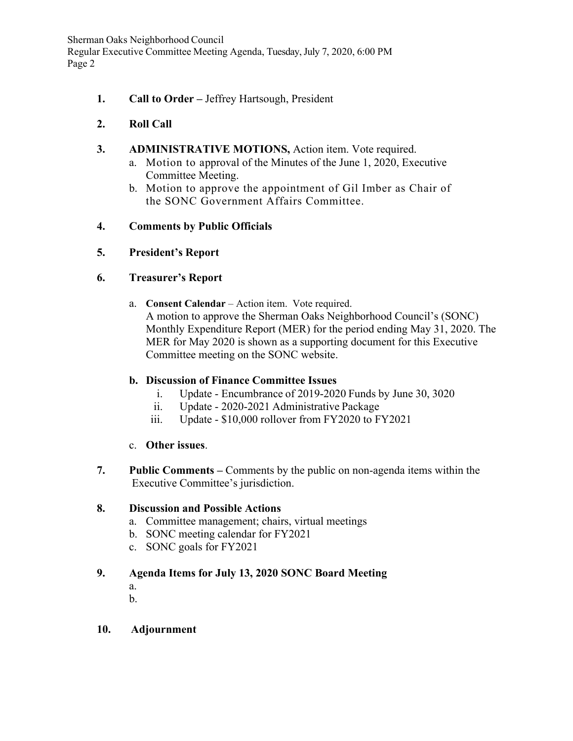Sherman Oaks Neighborhood Council Regular Executive Committee Meeting Agenda, Tuesday, July 7, 2020, 6:00 PM Page 2

**1. Call to Order –** Jeffrey Hartsough, President

# **2. Roll Call**

- **3. ADMINISTRATIVE MOTIONS,** Action item. Vote required.
	- a. Motion to approval of the Minutes of the June 1, 2020, Executive Committee Meeting.
	- b. Motion to approve the appointment of Gil Imber as Chair of the SONC Government Affairs Committee.

## **4. Comments by Public Officials**

#### **5. President's Report**

## **6. Treasurer's Report**

a. **Consent Calendar** – Action item. Vote required. A motion to approve the Sherman Oaks Neighborhood Council's (SONC) Monthly Expenditure Report (MER) for the period ending May 31, 2020. The MER for May 2020 is shown as a supporting document for this Executive Committee meeting on the SONC website.

# **b. Discussion of Finance Committee Issues**

- i. Update Encumbrance of 2019-2020 Funds by June 30, 3020
- ii. Update 2020-2021 Administrative Package
- iii. Update \$10,000 rollover from FY2020 to FY2021
- c. **Other issues**.
- **7. Public Comments** Comments by the public on non-agenda items within the Executive Committee's jurisdiction.

## **8. Discussion and Possible Actions**

- a. Committee management; chairs, virtual meetings
- b. SONC meeting calendar for FY2021
- c. SONC goals for FY2021

## **9. Agenda Items for July 13, 2020 SONC Board Meeting**

- a.
- b.

#### **10. Adjournment**